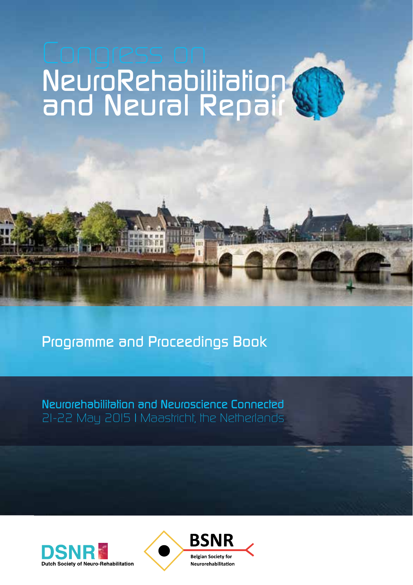# *NeuroRehabilitation and Neural Repair*

*Programme and Proceedings Book*

in Care in the light

*Neurorehabilitation and Neuroscience Connected 21-22 May 2015 | Maastricht, the Netherlands*